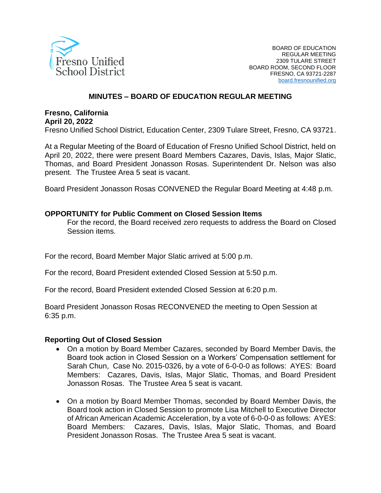

## **MINUTES – BOARD OF EDUCATION REGULAR MEETING**

#### **Fresno, California April 20, 2022**

Fresno Unified School District, Education Center, 2309 Tulare Street, Fresno, CA 93721.

At a Regular Meeting of the Board of Education of Fresno Unified School District, held on April 20, 2022, there were present Board Members Cazares, Davis, Islas, Major Slatic, Thomas, and Board President Jonasson Rosas. Superintendent Dr. Nelson was also present. The Trustee Area 5 seat is vacant.

Board President Jonasson Rosas CONVENED the Regular Board Meeting at 4:48 p.m.

#### **OPPORTUNITY for Public Comment on Closed Session Items**

For the record, the Board received zero requests to address the Board on Closed Session items.

For the record, Board Member Major Slatic arrived at 5:00 p.m.

For the record, Board President extended Closed Session at 5:50 p.m.

For the record, Board President extended Closed Session at 6:20 p.m.

Board President Jonasson Rosas RECONVENED the meeting to Open Session at 6:35 p.m.

#### **Reporting Out of Closed Session**

- On a motion by Board Member Cazares, seconded by Board Member Davis, the Board took action in Closed Session on a Workers' Compensation settlement for Sarah Chun, Case No. 2015-0326, by a vote of 6-0-0-0 as follows: AYES: Board Members: Cazares, Davis, Islas, Major Slatic, Thomas, and Board President Jonasson Rosas. The Trustee Area 5 seat is vacant.
- On a motion by Board Member Thomas, seconded by Board Member Davis, the Board took action in Closed Session to promote Lisa Mitchell to Executive Director of African American Academic Acceleration, by a vote of 6-0-0-0 as follows: AYES: Board Members: Cazares, Davis, Islas, Major Slatic, Thomas, and Board President Jonasson Rosas. The Trustee Area 5 seat is vacant.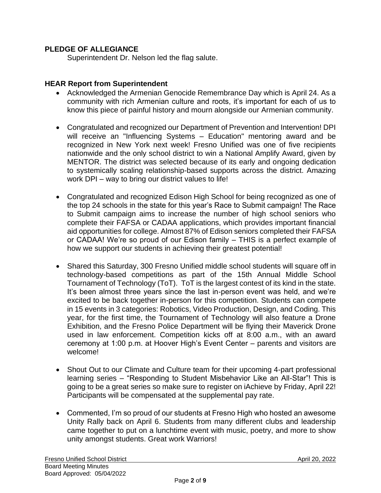## **PLEDGE OF ALLEGIANCE**

Superintendent Dr. Nelson led the flag salute.

### **HEAR Report from Superintendent**

- Acknowledged the Armenian Genocide Remembrance Day which is April 24. As a community with rich Armenian culture and roots, it's important for each of us to know this piece of painful history and mourn alongside our Armenian community.
- Congratulated and recognized our Department of Prevention and Intervention! DPI will receive an "Influencing Systems – Education" mentoring award and be recognized in New York next week! Fresno Unified was one of five recipients nationwide and the only school district to win a National Amplify Award, given by MENTOR. The district was selected because of its early and ongoing dedication to systemically scaling relationship-based supports across the district. Amazing work DPI – way to bring our district values to life!
- Congratulated and recognized Edison High School for being recognized as one of the top 24 schools in the state for this year's Race to Submit campaign! The Race to Submit campaign aims to increase the number of high school seniors who complete their FAFSA or CADAA applications, which provides important financial aid opportunities for college. Almost 87% of Edison seniors completed their FAFSA or CADAA! We're so proud of our Edison family – THIS is a perfect example of how we support our students in achieving their greatest potential!
- Shared this Saturday, 300 Fresno Unified middle school students will square off in technology-based competitions as part of the 15th Annual Middle School Tournament of Technology (ToT). ToT is the largest contest of its kind in the state. It's been almost three years since the last in-person event was held, and we're excited to be back together in-person for this competition. Students can compete in 15 events in 3 categories: Robotics, Video Production, Design, and Coding. This year, for the first time, the Tournament of Technology will also feature a Drone Exhibition, and the Fresno Police Department will be flying their Maverick Drone used in law enforcement. Competition kicks off at 8:00 a.m., with an award ceremony at 1:00 p.m. at Hoover High's Event Center – parents and visitors are welcome!
- Shout Out to our Climate and Culture team for their upcoming 4-part professional learning series – "Responding to Student Misbehavior Like an All-Star"! This is going to be a great series so make sure to register on iAchieve by Friday, April 22! Participants will be compensated at the supplemental pay rate.
- Commented, I'm so proud of our students at Fresno High who hosted an awesome Unity Rally back on April 6. Students from many different clubs and leadership came together to put on a lunchtime event with music, poetry, and more to show unity amongst students. Great work Warriors!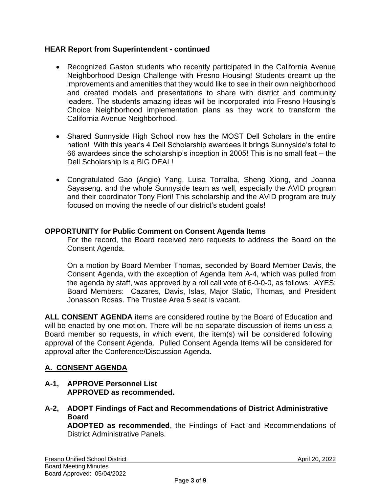## **HEAR Report from Superintendent - continued**

- Recognized Gaston students who recently participated in the California Avenue Neighborhood Design Challenge with Fresno Housing! Students dreamt up the improvements and amenities that they would like to see in their own neighborhood and created models and presentations to share with district and community leaders. The students amazing ideas will be incorporated into Fresno Housing's Choice Neighborhood implementation plans as they work to transform the California Avenue Neighborhood.
- Shared Sunnyside High School now has the MOST Dell Scholars in the entire nation! With this year's 4 Dell Scholarship awardees it brings Sunnyside's total to 66 awardees since the scholarship's inception in 2005! This is no small feat – the Dell Scholarship is a BIG DEAL!
- Congratulated Gao (Angie) Yang, Luisa Torralba, Sheng Xiong, and Joanna Sayaseng. and the whole Sunnyside team as well, especially the AVID program and their coordinator Tony Fiori! This scholarship and the AVID program are truly focused on moving the needle of our district's student goals!

# **OPPORTUNITY for Public Comment on Consent Agenda Items**

For the record, the Board received zero requests to address the Board on the Consent Agenda.

On a motion by Board Member Thomas, seconded by Board Member Davis, the Consent Agenda, with the exception of Agenda Item A-4, which was pulled from the agenda by staff, was approved by a roll call vote of 6-0-0-0, as follows: AYES: Board Members: Cazares, Davis, Islas, Major Slatic, Thomas, and President Jonasson Rosas. The Trustee Area 5 seat is vacant.

**ALL CONSENT AGENDA** items are considered routine by the Board of Education and will be enacted by one motion. There will be no separate discussion of items unless a Board member so requests, in which event, the item(s) will be considered following approval of the Consent Agenda. Pulled Consent Agenda Items will be considered for approval after the Conference/Discussion Agenda.

# **A. CONSENT AGENDA**

- **A-1, APPROVE Personnel List APPROVED as recommended.**
- **A-2, ADOPT Findings of Fact and Recommendations of District Administrative Board**

**ADOPTED as recommended**, the Findings of Fact and Recommendations of District Administrative Panels.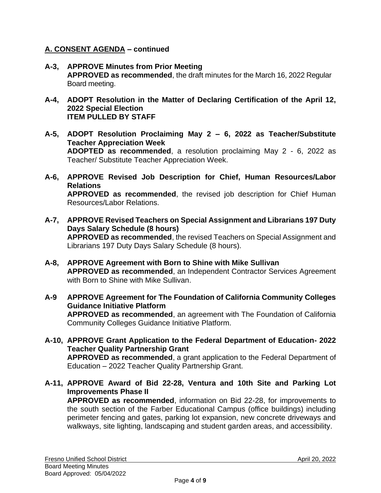## **A. CONSENT AGENDA – continued**

- **A-3, APPROVE Minutes from Prior Meeting APPROVED as recommended**, the draft minutes for the March 16, 2022 Regular Board meeting.
- **A-4, ADOPT Resolution in the Matter of Declaring Certification of the April 12, 2022 Special Election ITEM PULLED BY STAFF**
- **A-5, ADOPT Resolution Proclaiming May 2 – 6, 2022 as Teacher/Substitute Teacher Appreciation Week ADOPTED as recommended**, a resolution proclaiming May 2 - 6, 2022 as Teacher/ Substitute Teacher Appreciation Week.
- **A-6, APPROVE Revised Job Description for Chief, Human Resources/Labor Relations APPROVED as recommended**, the revised job description for Chief Human Resources/Labor Relations.
- **A-7, APPROVE Revised Teachers on Special Assignment and Librarians 197 Duty Days Salary Schedule (8 hours) APPROVED as recommended**, the revised Teachers on Special Assignment and Librarians 197 Duty Days Salary Schedule (8 hours).
- **A-8, APPROVE Agreement with Born to Shine with Mike Sullivan APPROVED as recommended**, an Independent Contractor Services Agreement with Born to Shine with Mike Sullivan.
- **A-9 APPROVE Agreement for The Foundation of California Community Colleges Guidance Initiative Platform APPROVED as recommended**, an agreement with The Foundation of California Community Colleges Guidance Initiative Platform.
- **A-10, APPROVE Grant Application to the Federal Department of Education- 2022 Teacher Quality Partnership Grant APPROVED as recommended**, a grant application to the Federal Department of Education – 2022 Teacher Quality Partnership Grant.
- **A-11, APPROVE Award of Bid 22-28, Ventura and 10th Site and Parking Lot Improvements Phase II**

**APPROVED as recommended**, information on Bid 22-28, for improvements to the south section of the Farber Educational Campus (office buildings) including perimeter fencing and gates, parking lot expansion, new concrete driveways and walkways, site lighting, landscaping and student garden areas, and accessibility.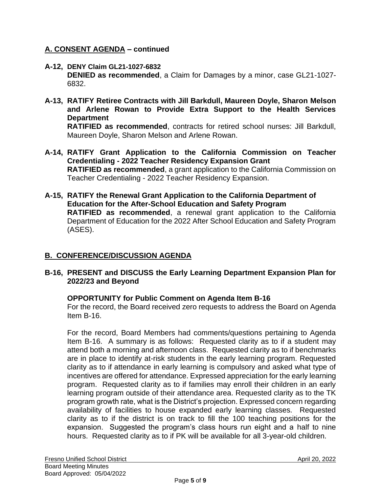## **A. CONSENT AGENDA – continued**

- **A-12, DENY Claim GL21-1027-6832 DENIED as recommended**, a Claim for Damages by a minor, case GL21-1027- 6832.
- **A-13, RATIFY Retiree Contracts with Jill Barkdull, Maureen Doyle, Sharon Melson and Arlene Rowan to Provide Extra Support to the Health Services Department RATIFIED as recommended**, contracts for retired school nurses: Jill Barkdull,

Maureen Doyle, Sharon Melson and Arlene Rowan.

- **A-14, RATIFY Grant Application to the California Commission on Teacher Credentialing - 2022 Teacher Residency Expansion Grant RATIFIED as recommended**, a grant application to the California Commission on Teacher Credentialing - 2022 Teacher Residency Expansion.
- **A-15, RATIFY the Renewal Grant Application to the California Department of Education for the After-School Education and Safety Program RATIFIED as recommended**, a renewal grant application to the California Department of Education for the 2022 After School Education and Safety Program (ASES).

## **B. CONFERENCE/DISCUSSION AGENDA**

## **B-16, PRESENT and DISCUSS the Early Learning Department Expansion Plan for 2022/23 and Beyond**

## **OPPORTUNITY for Public Comment on Agenda Item B-16**

For the record, the Board received zero requests to address the Board on Agenda Item B-16.

For the record, Board Members had comments/questions pertaining to Agenda Item B-16. A summary is as follows: Requested clarity as to if a student may attend both a morning and afternoon class. Requested clarity as to if benchmarks are in place to identify at-risk students in the early learning program. Requested clarity as to if attendance in early learning is compulsory and asked what type of incentives are offered for attendance. Expressed appreciation for the early learning program. Requested clarity as to if families may enroll their children in an early learning program outside of their attendance area. Requested clarity as to the TK program growth rate, what is the District's projection. Expressed concern regarding availability of facilities to house expanded early learning classes. Requested clarity as to if the district is on track to fill the 100 teaching positions for the expansion. Suggested the program's class hours run eight and a half to nine hours. Requested clarity as to if PK will be available for all 3-year-old children.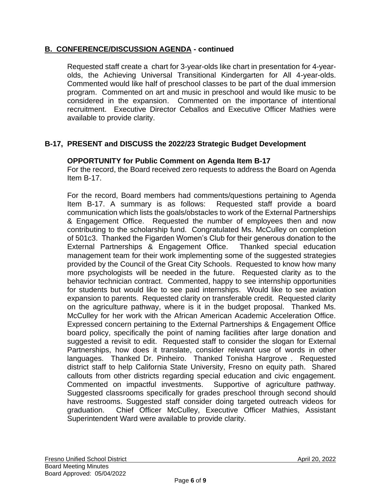# **B. CONFERENCE/DISCUSSION AGENDA - continued**

Requested staff create a chart for 3-year-olds like chart in presentation for 4-yearolds, the Achieving Universal Transitional Kindergarten for All 4-year-olds. Commented would like half of preschool classes to be part of the dual immersion program. Commented on art and music in preschool and would like music to be considered in the expansion. Commented on the importance of intentional recruitment. Executive Director Ceballos and Executive Officer Mathies were available to provide clarity.

# **B-17, PRESENT and DISCUSS the 2022/23 Strategic Budget Development**

## **OPPORTUNITY for Public Comment on Agenda Item B-17**

For the record, the Board received zero requests to address the Board on Agenda Item B-17.

For the record, Board members had comments/questions pertaining to Agenda Item B-17. A summary is as follows: Requested staff provide a board communication which lists the goals/obstacles to work of the External Partnerships & Engagement Office. Requested the number of employees then and now contributing to the scholarship fund. Congratulated Ms. McCulley on completion of 501c3. Thanked the Figarden Women's Club for their generous donation to the External Partnerships & Engagement Office. Thanked special education management team for their work implementing some of the suggested strategies provided by the Council of the Great City Schools. Requested to know how many more psychologists will be needed in the future. Requested clarity as to the behavior technician contract. Commented, happy to see internship opportunities for students but would like to see paid internships. Would like to see aviation expansion to parents. Requested clarity on transferable credit. Requested clarity on the agriculture pathway, where is it in the budget proposal. Thanked Ms. McCulley for her work with the African American Academic Acceleration Office. Expressed concern pertaining to the External Partnerships & Engagement Office board policy, specifically the point of naming facilities after large donation and suggested a revisit to edit. Requested staff to consider the slogan for External Partnerships, how does it translate, consider relevant use of words in other languages. Thanked Dr. Pinheiro. Thanked Tonisha Hargrove . Requested district staff to help California State University, Fresno on equity path. Shared callouts from other districts regarding special education and civic engagement. Commented on impactful investments. Supportive of agriculture pathway. Suggested classrooms specifically for grades preschool through second should have restrooms. Suggested staff consider doing targeted outreach videos for graduation. Chief Officer McCulley, Executive Officer Mathies, Assistant Superintendent Ward were available to provide clarity.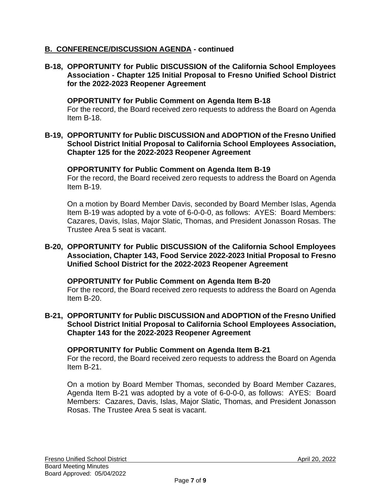# **B. CONFERENCE/DISCUSSION AGENDA - continued**

## **B-18, OPPORTUNITY for Public DISCUSSION of the California School Employees Association - Chapter 125 Initial Proposal to Fresno Unified School District for the 2022-2023 Reopener Agreement**

#### **OPPORTUNITY for Public Comment on Agenda Item B-18**

For the record, the Board received zero requests to address the Board on Agenda Item B-18.

## **B-19, OPPORTUNITY for Public DISCUSSION and ADOPTION of the Fresno Unified School District Initial Proposal to California School Employees Association, Chapter 125 for the 2022-2023 Reopener Agreement**

#### **OPPORTUNITY for Public Comment on Agenda Item B-19**

For the record, the Board received zero requests to address the Board on Agenda Item B-19.

On a motion by Board Member Davis, seconded by Board Member Islas, Agenda Item B-19 was adopted by a vote of 6-0-0-0, as follows: AYES: Board Members: Cazares, Davis, Islas, Major Slatic, Thomas, and President Jonasson Rosas. The Trustee Area 5 seat is vacant.

### **B-20, OPPORTUNITY for Public DISCUSSION of the California School Employees Association, Chapter 143, Food Service 2022-2023 Initial Proposal to Fresno Unified School District for the 2022-2023 Reopener Agreement**

## **OPPORTUNITY for Public Comment on Agenda Item B-20**

For the record, the Board received zero requests to address the Board on Agenda Item B-20.

**B-21, OPPORTUNITY for Public DISCUSSION and ADOPTION of the Fresno Unified School District Initial Proposal to California School Employees Association, Chapter 143 for the 2022-2023 Reopener Agreement**

#### **OPPORTUNITY for Public Comment on Agenda Item B-21**

For the record, the Board received zero requests to address the Board on Agenda Item B-21.

On a motion by Board Member Thomas, seconded by Board Member Cazares, Agenda Item B-21 was adopted by a vote of 6-0-0-0, as follows: AYES: Board Members: Cazares, Davis, Islas, Major Slatic, Thomas, and President Jonasson Rosas. The Trustee Area 5 seat is vacant.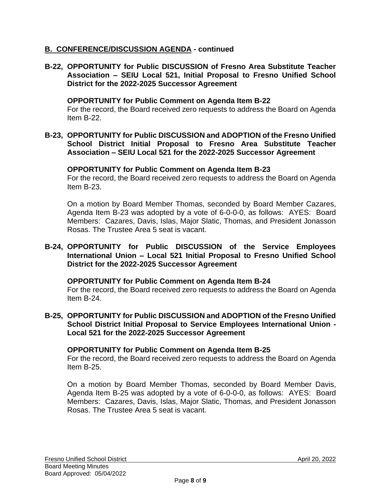# **B. CONFERENCE/DISCUSSION AGENDA - continued**

**B-22, OPPORTUNITY for Public DISCUSSION of Fresno Area Substitute Teacher Association – SEIU Local 521, Initial Proposal to Fresno Unified School District for the 2022-2025 Successor Agreement**

#### **OPPORTUNITY for Public Comment on Agenda Item B-22**

For the record, the Board received zero requests to address the Board on Agenda Item B-22.

**B-23, OPPORTUNITY for Public DISCUSSION and ADOPTION of the Fresno Unified School District Initial Proposal to Fresno Area Substitute Teacher Association – SEIU Local 521 for the 2022-2025 Successor Agreement**

#### **OPPORTUNITY for Public Comment on Agenda Item B-23**

For the record, the Board received zero requests to address the Board on Agenda Item B-23.

On a motion by Board Member Thomas, seconded by Board Member Cazares, Agenda Item B-23 was adopted by a vote of 6-0-0-0, as follows: AYES: Board Members: Cazares, Davis, Islas, Major Slatic, Thomas, and President Jonasson Rosas. The Trustee Area 5 seat is vacant.

### **B-24, OPPORTUNITY for Public DISCUSSION of the Service Employees International Union – Local 521 Initial Proposal to Fresno Unified School District for the 2022-2025 Successor Agreement**

**OPPORTUNITY for Public Comment on Agenda Item B-24**

For the record, the Board received zero requests to address the Board on Agenda Item B-24.

**B-25, OPPORTUNITY for Public DISCUSSION and ADOPTION of the Fresno Unified School District Initial Proposal to Service Employees International Union - Local 521 for the 2022-2025 Successor Agreement**

#### **OPPORTUNITY for Public Comment on Agenda Item B-25**

For the record, the Board received zero requests to address the Board on Agenda Item B-25.

On a motion by Board Member Thomas, seconded by Board Member Davis, Agenda Item B-25 was adopted by a vote of 6-0-0-0, as follows: AYES: Board Members: Cazares, Davis, Islas, Major Slatic, Thomas, and President Jonasson Rosas. The Trustee Area 5 seat is vacant.